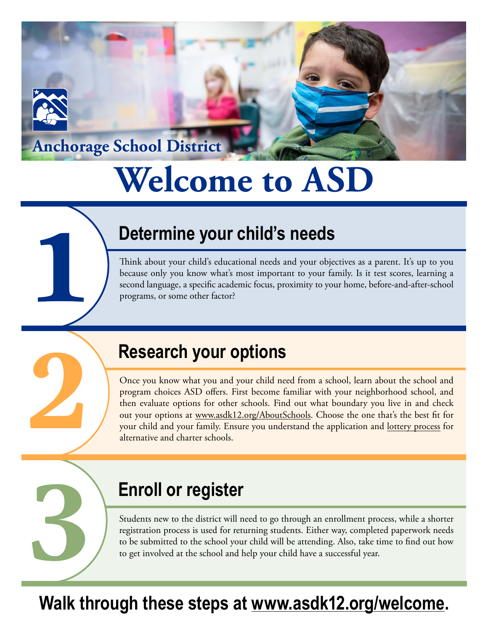#### **Anchorage School District**

**1**

**2**

**3**

# **Welcome to ASD**

# **1. Determine your child's needs**

Think about your child's educational needs and your objectives as a parent. It's up to you because only you know what's most important to your family. Is it test scores, learning a second language, a specific academic focus, proximity to your home, before-and-after-school programs, or some other factor?

### **2. Research your options**

Once you know what you and your child need from a school, learn about the school and program choices ASD offers. First become familiar with your neighborhood school, and then evaluate options for other schools. Find out what boundary you live in and check out your options at [www.asdk12.org/AboutSchools.](https://www.asdk12.org/AboutSchools) Choose the one that's the best fit for your child and your family. Ensure you understand the application and [lottery process](https://www.asdk12.org/site/Default.aspx?PageID=3302) for alternative and charter schools.

### **3. Enroll or register**

Students new to the district will need to go through an enrollment process, while a shorter registration process is used for returning students. Either way, completed paperwork needs to be submitted to the school your child will be attending. Also, take time to find out how to get involved at the school and help your child have a successful year.

# **Walk through these steps at [www.asdk12.org/welcome](https://www.asdk12.org/welcome).**